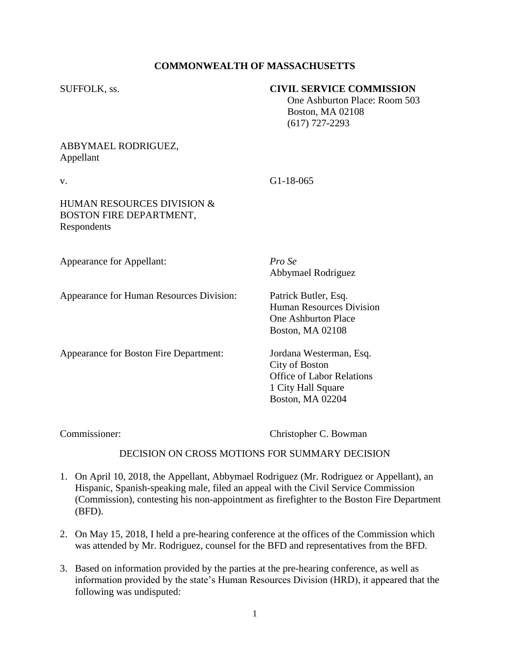# **COMMONWEALTH OF MASSACHUSETTS**

### SUFFOLK, ss. **CIVIL SERVICE COMMISSION**

 One Ashburton Place: Room 503 Boston, MA 02108 (617) 727-2293

# ABBYMAEL RODRIGUEZ, Appellant

v. G1-18-065

### HUMAN RESOURCES DIVISION & BOSTON FIRE DEPARTMENT, Respondents

| Appearance for Appellant:                | Pro Se<br>Abbymael Rodriguez                                                                                            |
|------------------------------------------|-------------------------------------------------------------------------------------------------------------------------|
| Appearance for Human Resources Division: | Patrick Butler, Esq.<br>Human Resources Division<br><b>One Ashburton Place</b><br><b>Boston, MA 02108</b>               |
| Appearance for Boston Fire Department:   | Jordana Westerman, Esq.<br>City of Boston<br>Office of Labor Relations<br>1 City Hall Square<br><b>Boston, MA 02204</b> |

Commissioner: Christopher C. Bowman

#### DECISION ON CROSS MOTIONS FOR SUMMARY DECISION

- 1. On April 10, 2018, the Appellant, Abbymael Rodriguez (Mr. Rodriguez or Appellant), an Hispanic, Spanish-speaking male, filed an appeal with the Civil Service Commission (Commission), contesting his non-appointment as firefighter to the Boston Fire Department (BFD).
- 2. On May 15, 2018, I held a pre-hearing conference at the offices of the Commission which was attended by Mr. Rodriguez, counsel for the BFD and representatives from the BFD.
- 3. Based on information provided by the parties at the pre-hearing conference, as well as information provided by the state's Human Resources Division (HRD), it appeared that the following was undisputed: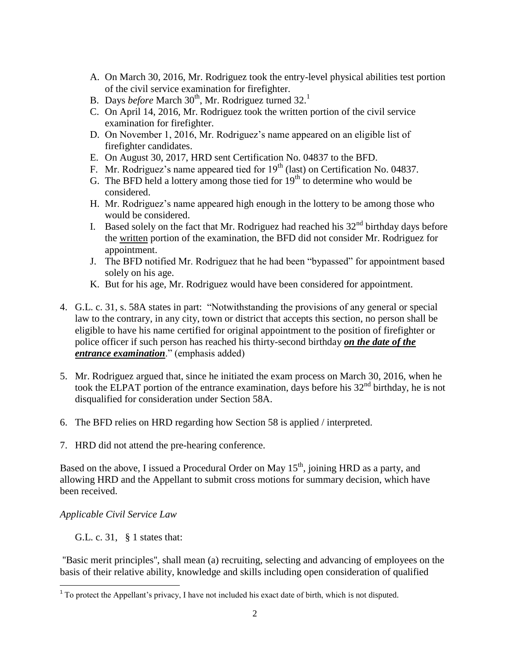- A. On March 30, 2016, Mr. Rodriguez took the entry-level physical abilities test portion of the civil service examination for firefighter.
- B. Days *before* March 30<sup>th</sup>, Mr. Rodriguez turned 32.<sup>1</sup>
- C. On April 14, 2016, Mr. Rodriguez took the written portion of the civil service examination for firefighter.
- D. On November 1, 2016, Mr. Rodriguez's name appeared on an eligible list of firefighter candidates.
- E. On August 30, 2017, HRD sent Certification No. 04837 to the BFD.
- F. Mr. Rodriguez's name appeared tied for  $19<sup>th</sup>$  (last) on Certification No. 04837.
- G. The BFD held a lottery among those tied for  $19<sup>th</sup>$  to determine who would be considered.
- H. Mr. Rodriguez's name appeared high enough in the lottery to be among those who would be considered.
- I. Based solely on the fact that Mr. Rodriguez had reached his  $32<sup>nd</sup>$  birthday days before the written portion of the examination, the BFD did not consider Mr. Rodriguez for appointment.
- J. The BFD notified Mr. Rodriguez that he had been "bypassed" for appointment based solely on his age.
- K. But for his age, Mr. Rodriguez would have been considered for appointment.
- 4. G.L. c. 31, s. 58A states in part: "Notwithstanding the provisions of any general or special law to the contrary, in any city, town or district that accepts this section, no person shall be eligible to have his name certified for original appointment to the position of firefighter or police officer if such person has reached his thirty-second birthday *on the date of the entrance examination*." (emphasis added)
- 5. Mr. Rodriguez argued that, since he initiated the exam process on March 30, 2016, when he took the ELPAT portion of the entrance examination, days before his  $32<sup>nd</sup>$  birthday, he is not disqualified for consideration under Section 58A.
- 6. The BFD relies on HRD regarding how Section 58 is applied / interpreted.
- 7. HRD did not attend the pre-hearing conference.

Based on the above, I issued a Procedural Order on May  $15<sup>th</sup>$ , joining HRD as a party, and allowing HRD and the Appellant to submit cross motions for summary decision, which have been received.

*Applicable Civil Service Law*

G.L. c. 31, § 1 states that:

''Basic merit principles'', shall mean (a) recruiting, selecting and advancing of employees on the basis of their relative ability, knowledge and skills including open consideration of qualified

<sup>&</sup>lt;sup>1</sup> To protect the Appellant's privacy, I have not included his exact date of birth, which is not disputed.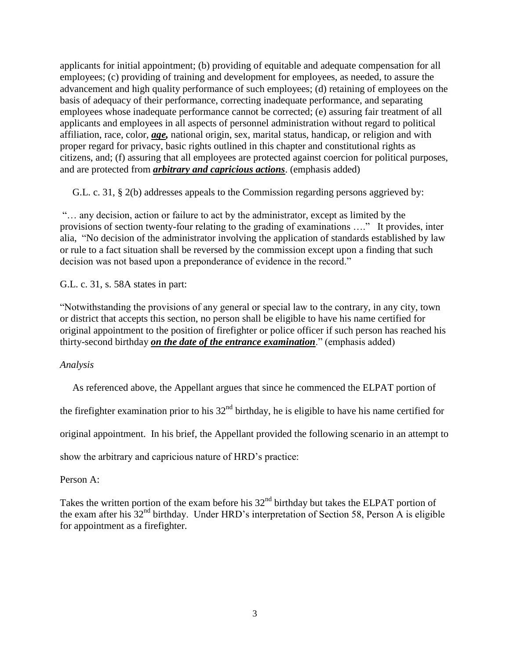applicants for initial appointment; (b) providing of equitable and adequate compensation for all employees; (c) providing of training and development for employees, as needed, to assure the advancement and high quality performance of such employees; (d) retaining of employees on the basis of adequacy of their performance, correcting inadequate performance, and separating employees whose inadequate performance cannot be corrected; (e) assuring fair treatment of all applicants and employees in all aspects of personnel administration without regard to political affiliation, race, color, *age,* national origin, sex, marital status, handicap, or religion and with proper regard for privacy, basic rights outlined in this chapter and constitutional rights as citizens, and; (f) assuring that all employees are protected against coercion for political purposes, and are protected from *arbitrary and capricious actions*. (emphasis added)

G.L. c. 31, § 2(b) addresses appeals to the Commission regarding persons aggrieved by:

"… any decision, action or failure to act by the administrator, except as limited by the provisions of section twenty-four relating to the grading of examinations …." It provides, inter alia, "No decision of the administrator involving the application of standards established by law or rule to a fact situation shall be reversed by the commission except upon a finding that such decision was not based upon a preponderance of evidence in the record."

G.L. c. 31, s. 58A states in part:

"Notwithstanding the provisions of any general or special law to the contrary, in any city, town or district that accepts this section, no person shall be eligible to have his name certified for original appointment to the position of firefighter or police officer if such person has reached his thirty-second birthday *on the date of the entrance examination*." (emphasis added)

*Analysis*

As referenced above, the Appellant argues that since he commenced the ELPAT portion of

the firefighter examination prior to his  $32<sup>nd</sup>$  birthday, he is eligible to have his name certified for

original appointment. In his brief, the Appellant provided the following scenario in an attempt to

show the arbitrary and capricious nature of HRD's practice:

Person A:

Takes the written portion of the exam before his  $32<sup>nd</sup>$  birthday but takes the ELPAT portion of the exam after his 32<sup>nd</sup> birthday. Under HRD's interpretation of Section 58, Person A is eligible for appointment as a firefighter.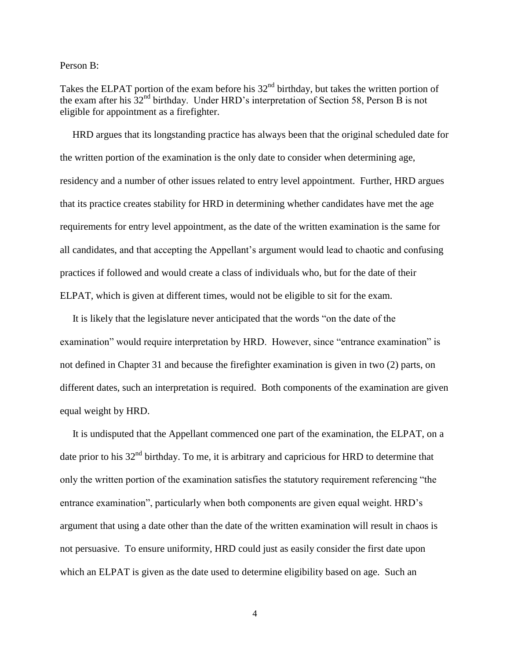Person B:

Takes the ELPAT portion of the exam before his 32<sup>nd</sup> birthday, but takes the written portion of the exam after his 32nd birthday. Under HRD's interpretation of Section 58, Person B is not eligible for appointment as a firefighter.

 HRD argues that its longstanding practice has always been that the original scheduled date for the written portion of the examination is the only date to consider when determining age, residency and a number of other issues related to entry level appointment. Further, HRD argues that its practice creates stability for HRD in determining whether candidates have met the age requirements for entry level appointment, as the date of the written examination is the same for all candidates, and that accepting the Appellant's argument would lead to chaotic and confusing practices if followed and would create a class of individuals who, but for the date of their ELPAT, which is given at different times, would not be eligible to sit for the exam.

 It is likely that the legislature never anticipated that the words "on the date of the examination" would require interpretation by HRD. However, since "entrance examination" is not defined in Chapter 31 and because the firefighter examination is given in two (2) parts, on different dates, such an interpretation is required. Both components of the examination are given equal weight by HRD.

 It is undisputed that the Appellant commenced one part of the examination, the ELPAT, on a date prior to his  $32<sup>nd</sup>$  birthday. To me, it is arbitrary and capricious for HRD to determine that only the written portion of the examination satisfies the statutory requirement referencing "the entrance examination", particularly when both components are given equal weight. HRD's argument that using a date other than the date of the written examination will result in chaos is not persuasive. To ensure uniformity, HRD could just as easily consider the first date upon which an ELPAT is given as the date used to determine eligibility based on age. Such an

4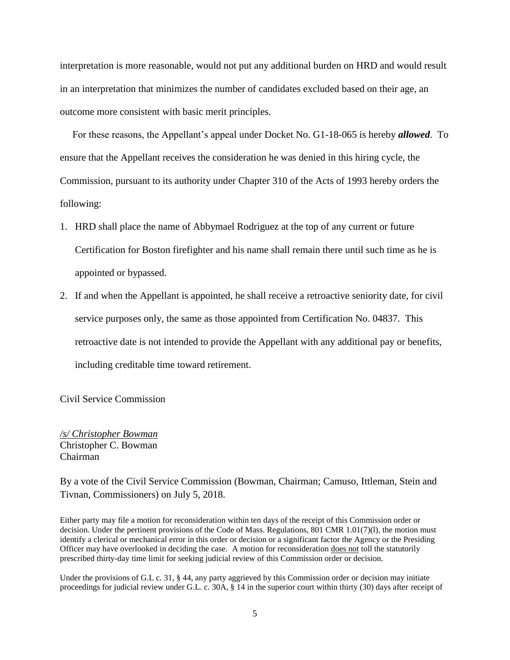interpretation is more reasonable, would not put any additional burden on HRD and would result in an interpretation that minimizes the number of candidates excluded based on their age, an outcome more consistent with basic merit principles.

 For these reasons, the Appellant's appeal under Docket No. G1-18-065 is hereby *allowed*. To ensure that the Appellant receives the consideration he was denied in this hiring cycle, the Commission, pursuant to its authority under Chapter 310 of the Acts of 1993 hereby orders the following:

- 1. HRD shall place the name of Abbymael Rodriguez at the top of any current or future Certification for Boston firefighter and his name shall remain there until such time as he is appointed or bypassed.
- 2. If and when the Appellant is appointed, he shall receive a retroactive seniority date, for civil service purposes only, the same as those appointed from Certification No. 04837. This retroactive date is not intended to provide the Appellant with any additional pay or benefits, including creditable time toward retirement.

Civil Service Commission

*/s/ Christopher Bowman* Christopher C. Bowman Chairman

By a vote of the Civil Service Commission (Bowman, Chairman; Camuso, Ittleman, Stein and Tivnan, Commissioners) on July 5, 2018.

Either party may file a motion for reconsideration within ten days of the receipt of this Commission order or decision. Under the pertinent provisions of the Code of Mass. Regulations, 801 CMR 1.01(7)(l), the motion must identify a clerical or mechanical error in this order or decision or a significant factor the Agency or the Presiding Officer may have overlooked in deciding the case. A motion for reconsideration does not toll the statutorily prescribed thirty-day time limit for seeking judicial review of this Commission order or decision.

Under the provisions of G.L c. 31, § 44, any party aggrieved by this Commission order or decision may initiate proceedings for judicial review under G.L. c. 30A, § 14 in the superior court within thirty (30) days after receipt of